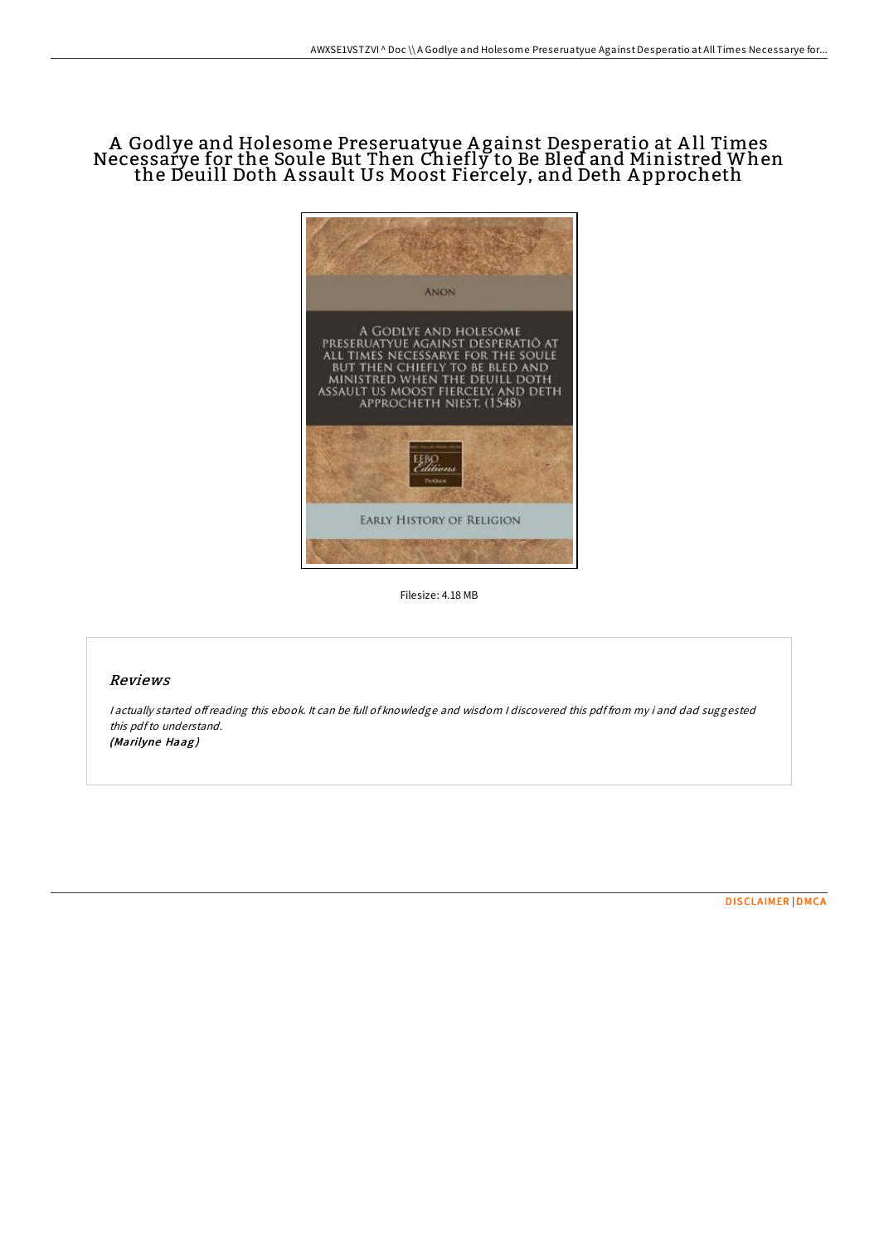## A Godlye and Holesome Preseruatyue Against Desperatio at All Times<br>Necessarye for the Soule But Then Chiefly to Be Bled and Ministred When<br>the Deuill Doth Assault Us Moost Fiercely, and Deth Approcheth



Filesize: 4.18 MB

## Reviews

I actually started offreading this ebook. It can be full of knowledge and wisdom I discovered this pdffrom my i and dad suggested this pdf to understand. (Marilyne Haag)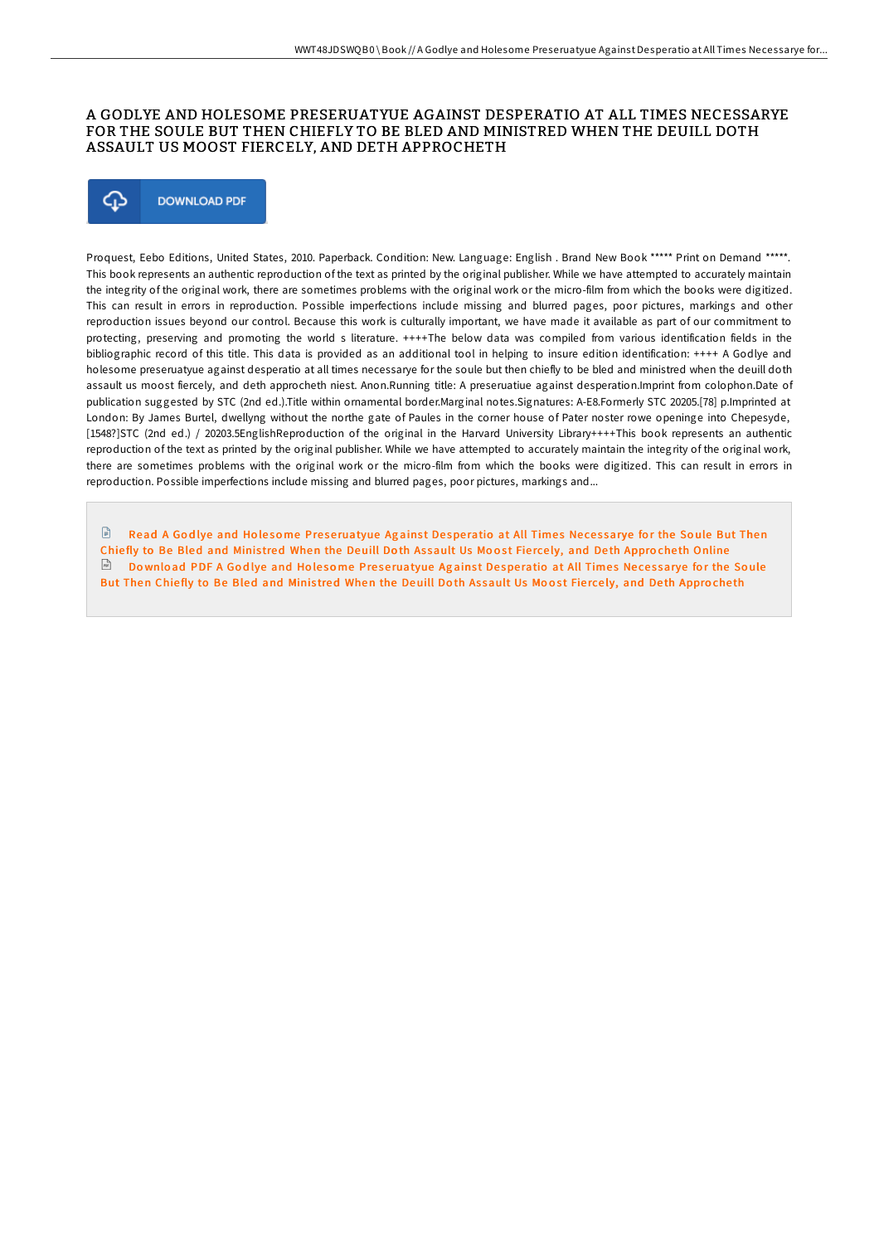## A GODLYE AND HOLESOME PRESERUATYUE AGAINST DESPERATIO AT ALL TIMES NECESSARYE FOR THE SOULE BUT THEN CHIEFLY TO BE BLED AND MINISTRED WHEN THE DEUILL DOTH ASSAULT US MOOST FIERCELY, AND DETH APPROCHETH



Proquest, Eebo Editions, United States, 2010. Paperback. Condition: New. Language: English . Brand New Book \*\*\*\*\* Print on Demand \*\*\*\*\*. This book represents an authentic reproduction of the text as printed by the original publisher. While we have attempted to accurately maintain the integrity of the original work, there are sometimes problems with the original work or the micro-film from which the books were digitized. This can result in errors in reproduction. Possible imperfections include missing and blurred pages, poor pictures, markings and other reproduction issues beyond our control. Because this work is culturally important, we have made it available as part of our commitment to protecting, preserving and promoting the world s literature. ++++The below data was compiled from various identification fields in the bibliographic record of this title. This data is provided as an additional tool in helping to insure edition identification: ++++ A Godlye and holesome preseruatyue against desperatio at all times necessarye for the soule but then chiefly to be bled and ministred when the deuill doth assault us moost fiercely, and deth approcheth niest. Anon.Running title: A preseruatiue against desperation.Imprint from colophon.Date of publication suggested by STC (2nd ed.).Title within ornamental border.Marginal notes.Signatures: A-E8.Formerly STC 20205.[78] p.Imprinted at London: By James Burtel, dwellyng without the northe gate of Paules in the corner house of Pater noster rowe openinge into Chepesyde, [1548?]STC (2nd ed.) / 20203.5EnglishReproduction of the original in the Harvard University Library++++This book represents an authentic reproduction of the text as printed by the original publisher. While we have attempted to accurately maintain the integrity of the original work, there are sometimes problems with the original work or the micro-film from which the books were digitized. This can result in errors in reproduction. Possible imperfections include missing and blurred pages, poor pictures, markings and...

 $\mathbb B$  Read A Godlye and Holesome Prese[ruatyue](http://almighty24.tech/a-godlye-and-holesome-preseruatyue-against-despe.html) Against Desperatio at All Times Necessarye for the Soule But Then Chiefly to Be Bled and Ministred When the Deuill Doth Assault Us Moost Fiercely, and Deth Approcheth Online  $\Box$  Download PDF A Godlye and Holesome Prese[ruatyue](http://almighty24.tech/a-godlye-and-holesome-preseruatyue-against-despe.html) Against Desperatio at All Times Necessarye for the Soule But Then Chiefly to Be Bled and Ministred When the Deuill Doth Assault Us Moost Fiercely, and Deth Approcheth